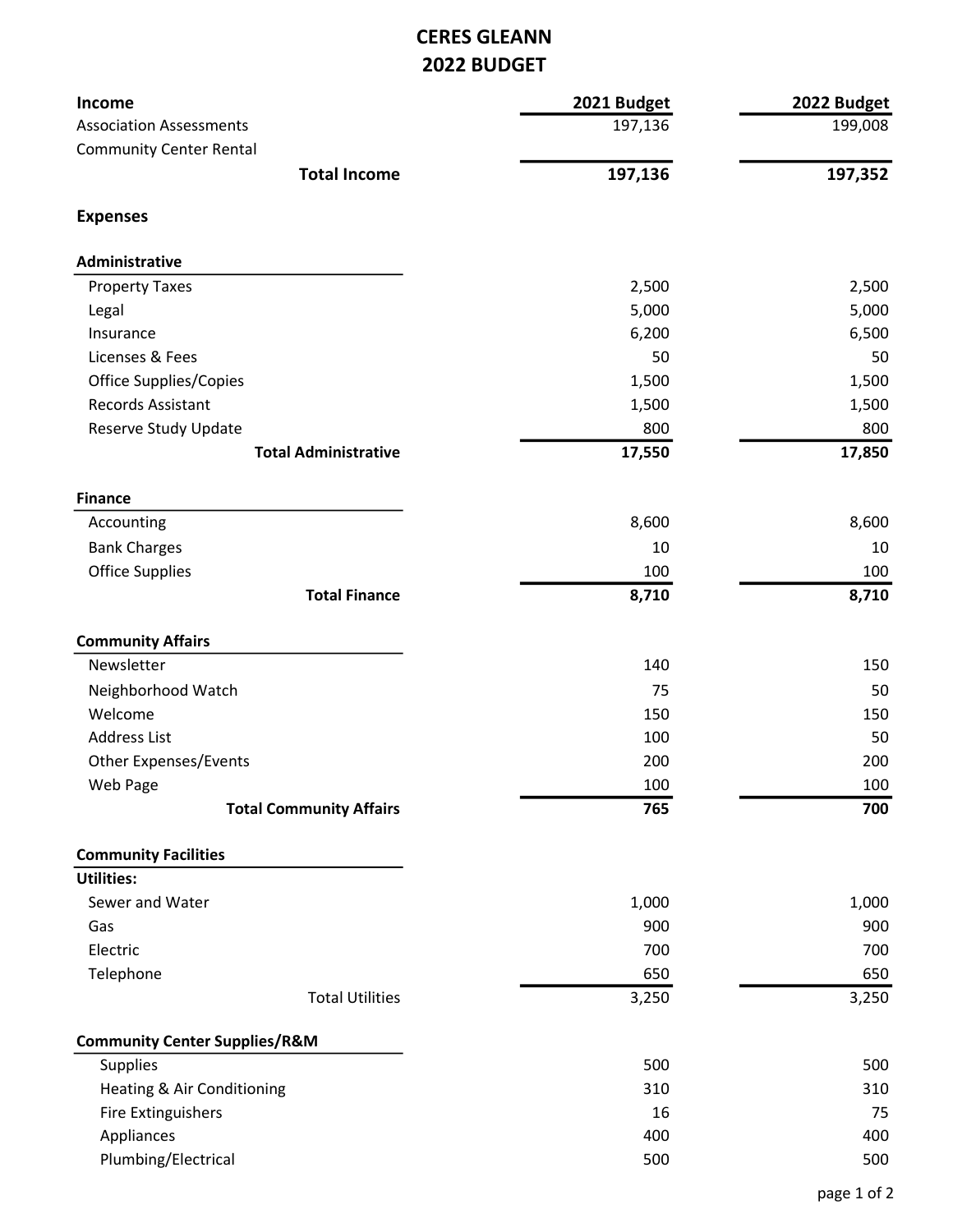## CERES GLEANN 2022 BUDGET

| Income                                   | 2021 Budget | 2022 Budget |
|------------------------------------------|-------------|-------------|
| <b>Association Assessments</b>           | 197,136     | 199,008     |
| <b>Community Center Rental</b>           |             |             |
| <b>Total Income</b>                      | 197,136     | 197,352     |
| <b>Expenses</b>                          |             |             |
| Administrative                           |             |             |
| <b>Property Taxes</b>                    | 2,500       | 2,500       |
| Legal                                    | 5,000       | 5,000       |
| Insurance                                | 6,200       | 6,500       |
| Licenses & Fees                          | 50          | 50          |
| <b>Office Supplies/Copies</b>            | 1,500       | 1,500       |
| <b>Records Assistant</b>                 | 1,500       | 1,500       |
| Reserve Study Update                     | 800         | 800         |
| <b>Total Administrative</b>              | 17,550      | 17,850      |
| <b>Finance</b>                           |             |             |
| Accounting                               | 8,600       | 8,600       |
| <b>Bank Charges</b>                      | 10          | 10          |
| <b>Office Supplies</b>                   | 100         | 100         |
| <b>Total Finance</b>                     | 8,710       | 8,710       |
| <b>Community Affairs</b>                 |             |             |
| Newsletter                               | 140         | 150         |
| Neighborhood Watch                       | 75          | 50          |
| Welcome                                  | 150         | 150         |
| <b>Address List</b>                      | 100         | 50          |
| <b>Other Expenses/Events</b>             | 200         | 200         |
| Web Page                                 | 100         | 100         |
| <b>Total Community Affairs</b>           | 765         | 700         |
| <b>Community Facilities</b>              |             |             |
| <b>Utilities:</b>                        |             |             |
| Sewer and Water                          | 1,000       | 1,000       |
| Gas                                      | 900         | 900         |
| Electric                                 | 700         | 700         |
| Telephone                                | 650         | 650         |
| <b>Total Utilities</b>                   | 3,250       | 3,250       |
| <b>Community Center Supplies/R&amp;M</b> |             |             |
| Supplies                                 | 500         | 500         |
| Heating & Air Conditioning               | 310         | 310         |
| Fire Extinguishers                       | 16          | 75          |
| Appliances                               | 400         | 400         |
| Plumbing/Electrical                      | 500         | 500         |